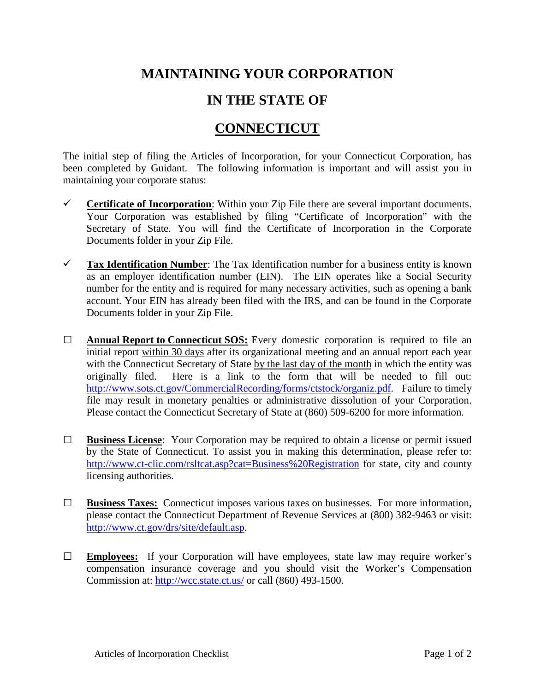## **MAINTAINING YOUR CORPORATION**

## **IN THE STATE OF**

## **CONNECTICUT**

The initial step of filing the Articles of Incorporation, for your Connecticut Corporation, has been completed by Guidant. The following information is important and will assist you in maintaining your corporate status:

- **Certificate of Incorporation**: Within your Zip File there are several important documents. Your Corporation was established by filing "Certificate of Incorporation" with the Secretary of State. You will find the Certificate of Incorporation in the Corporate Documents folder in your Zip File.
- **Tax Identification Number**: The Tax Identification number for a business entity is known as an employer identification number (EIN). The EIN operates like a Social Security number for the entity and is required for many necessary activities, such as opening a bank account. Your EIN has already been filed with the IRS, and can be found in the Corporate Documents folder in your Zip File.
- **□ Annual Report to Connecticut SOS:** Every domestic corporation is required to file an initial report within 30 days after its organizational meeting and an annual report each year with the Connecticut Secretary of State by the last day of the month in which the entity was originally filed. Here is a link to the form that will be needed to fill out: [http://www.sots.ct.gov/CommercialRecording/forms/ctstock/organiz.pdf.](http://www.sots.ct.gov/CommercialRecording/forms/ctstock/organiz.pdf) Failure to timely file may result in monetary penalties or administrative dissolution of your Corporation. Please contact the Connecticut Secretary of State at (860) 509-6200 for more information.
- **□ Business License**: Your Corporation may be required to obtain a license or permit issued by the State of Connecticut. To assist you in making this determination, please refer to: <http://www.ct-clic.com/rsltcat.asp?cat=Business%20Registration> for state, city and county licensing authorities.
- **□ Business Taxes:** Connecticut imposes various taxes on businesses. For more information, please contact the Connecticut Department of Revenue Services at (800) 382-9463 or visit: [http://www.ct.gov/drs/site/default.asp.](http://www.ct.gov/drs/site/default.asp)
- **□ Employees:** If your Corporation will have employees, state law may require worker's compensation insurance coverage and you should visit the Worker's Compensation Commission at: <http://wcc.state.ct.us/> or call (860) 493-1500.